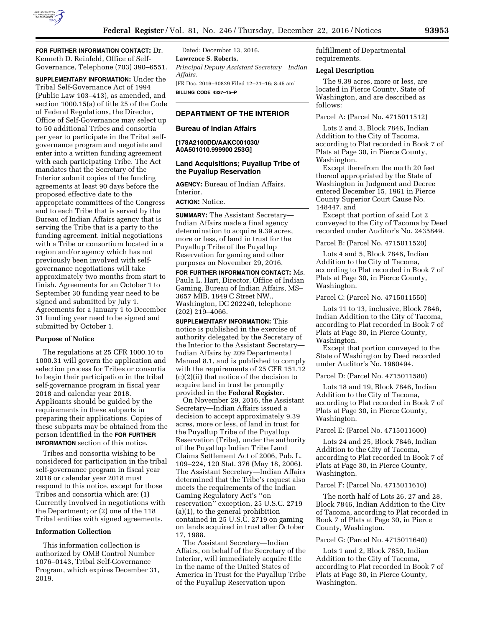

**FOR FURTHER INFORMATION CONTACT:** Dr. Kenneth D. Reinfeld, Office of Self-Governance, Telephone (703) 390–6551.

**SUPPLEMENTARY INFORMATION:** Under the Tribal Self-Governance Act of 1994 (Public Law 103–413), as amended, and section 1000.15(a) of title 25 of the Code of Federal Regulations, the Director, Office of Self-Governance may select up to 50 additional Tribes and consortia per year to participate in the Tribal selfgovernance program and negotiate and enter into a written funding agreement with each participating Tribe. The Act mandates that the Secretary of the Interior submit copies of the funding agreements at least 90 days before the proposed effective date to the appropriate committees of the Congress and to each Tribe that is served by the Bureau of Indian Affairs agency that is serving the Tribe that is a party to the funding agreement. Initial negotiations with a Tribe or consortium located in a region and/or agency which has not previously been involved with selfgovernance negotiations will take approximately two months from start to finish. Agreements for an October 1 to September 30 funding year need to be signed and submitted by July 1. Agreements for a January 1 to December 31 funding year need to be signed and submitted by October 1.

# **Purpose of Notice**

The regulations at 25 CFR 1000.10 to 1000.31 will govern the application and selection process for Tribes or consortia to begin their participation in the tribal self-governance program in fiscal year 2018 and calendar year 2018. Applicants should be guided by the requirements in these subparts in preparing their applications. Copies of these subparts may be obtained from the person identified in the **FOR FURTHER INFORMATION** section of this notice.

Tribes and consortia wishing to be considered for participation in the tribal self-governance program in fiscal year 2018 or calendar year 2018 must respond to this notice, except for those Tribes and consortia which are: (1) Currently involved in negotiations with the Department; or (2) one of the 118 Tribal entities with signed agreements.

## **Information Collection**

This information collection is authorized by OMB Control Number 1076–0143, Tribal Self-Governance Program, which expires December 31, 2019.

Dated: December 13, 2016. **Lawrence S. Roberts,**  *Principal Deputy Assistant Secretary—Indian Affairs.*  [FR Doc. 2016–30829 Filed 12–21–16; 8:45 am] **BILLING CODE 4337–15–P** 

# **DEPARTMENT OF THE INTERIOR**

#### **Bureau of Indian Affairs**

**[178A2100DD/AAKC001030/ A0A501010.999900 253G]** 

## **Land Acquisitions; Puyallup Tribe of the Puyallup Reservation**

**AGENCY:** Bureau of Indian Affairs, Interior.

**ACTION:** Notice.

**SUMMARY:** The Assistant Secretary— Indian Affairs made a final agency determination to acquire 9.39 acres, more or less, of land in trust for the Puyallup Tribe of the Puyallup Reservation for gaming and other purposes on November 29, 2016.

**FOR FURTHER INFORMATION CONTACT:** Ms. Paula L. Hart, Director, Office of Indian Gaming, Bureau of Indian Affairs, MS– 3657 MIB, 1849 C Street NW., Washington, DC 202240, telephone (202) 219–4066.

**SUPPLEMENTARY INFORMATION:** This notice is published in the exercise of authority delegated by the Secretary of the Interior to the Assistant Secretary— Indian Affairs by 209 Departmental Manual 8.1, and is published to comply with the requirements of 25 CFR 151.12 (c)(2)(ii) that notice of the decision to acquire land in trust be promptly provided in the **Federal Register**.

On November 29, 2016, the Assistant Secretary—Indian Affairs issued a decision to accept approximately 9.39 acres, more or less, of land in trust for the Puyallup Tribe of the Puyallup Reservation (Tribe), under the authority of the Puyallup Indian Tribe Land Claims Settlement Act of 2006, Pub. L. 109–224, 120 Stat. 376 (May 18, 2006). The Assistant Secretary—Indian Affairs determined that the Tribe's request also meets the requirements of the Indian Gaming Regulatory Act's ''on reservation'' exception, 25 U.S.C. 2719 (a)(1), to the general prohibition contained in 25 U.S.C. 2719 on gaming on lands acquired in trust after October 17, 1988.

The Assistant Secretary—Indian Affairs, on behalf of the Secretary of the Interior, will immediately acquire title in the name of the United States of America in Trust for the Puyallup Tribe of the Puyallup Reservation upon

fulfillment of Departmental requirements.

## **Legal Description**

The 9.39 acres, more or less, are located in Pierce County, State of Washington, and are described as follows:

Parcel A: (Parcel No. 4715011512)

Lots 2 and 3, Block 7846, Indian Addition to the City of Tacoma, according to Plat recorded in Book 7 of Plats at Page 30, in Pierce County, Washington.

Except therefrom the north 20 feet thereof appropriated by the State of Washington in Judgment and Decree entered December 15, 1961 in Pierce County Superior Court Cause No. 148447, and

Except that portion of said Lot 2 conveyed to the City of Tacoma by Deed recorded under Auditor's No. 2435849.

Parcel B: (Parcel No. 4715011520)

Lots 4 and 5, Block 7846, Indian Addition to the City of Tacoma, according to Plat recorded in Book 7 of Plats at Page 30, in Pierce County, Washington.

Parcel C: (Parcel No. 4715011550)

Lots 11 to 13, inclusive, Block 7846, Indian Addition to the City of Tacoma, according to Plat recorded in Book 7 of Plats at Page 30, in Pierce County, Washington.

Except that portion conveyed to the State of Washington by Deed recorded under Auditor's No. 1960494.

Parcel D: (Parcel No. 4715011580)

Lots 18 and 19, Block 7846, Indian Addition to the City of Tacoma, according to Plat recorded in Book 7 of Plats at Page 30, in Pierce County, Washington.

### Parcel E: (Parcel No. 4715011600)

Lots 24 and 25, Block 7846, Indian Addition to the City of Tacoma, according to Plat recorded in Book 7 of Plats at Page 30, in Pierce County, Washington.

#### Parcel F: (Parcel No. 4715011610)

The north half of Lots 26, 27 and 28, Block 7846, Indian Addition to the City of Tacoma, according to Plat recorded in Book 7 of Plats at Page 30, in Pierce County, Washington.

## Parcel G: (Parcel No. 4715011640)

Lots 1 and 2, Block 7850, Indian Addition to the City of Tacoma, according to Plat recorded in Book 7 of Plats at Page 30, in Pierce County, Washington.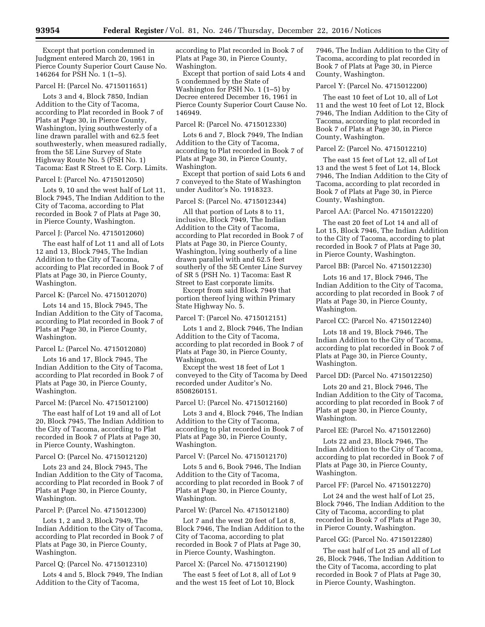Except that portion condemned in Judgment entered March 20, 1961 in Pierce County Superior Court Cause No. 146264 for PSH No. 1 (1–5).

## Parcel H: (Parcel No. 4715011651)

Lots 3 and 4, Block 7850, Indian Addition to the City of Tacoma, according to Plat recorded in Book 7 of Plats at Page 30, in Pierce County, Washington, lying southwesterly of a line drawn parallel with and 62.5 feet southwesterly, when measured radially, from the 5E Line Survey of State Highway Route No. 5 (PSH No. 1) Tacoma: East R Street to E. Corp. Limits.

Parcel I: (Parcel No. 4715012050)

Lots 9, 10 and the west half of Lot 11, Block 7945, The Indian Addition to the City of Tacoma, according to Plat recorded in Book 7 of Plats at Page 30, in Pierce County, Washington.

# Parcel J: (Parcel No. 4715012060)

The east half of Lot 11 and all of Lots 12 and 13, Block 7945, The Indian Addition to the City of Tacoma, according to Plat recorded in Book 7 of Plats at Page 30, in Pierce County, Washington.

Parcel K: (Parcel No. 4715012070)

Lots 14 and 15, Block 7945, The Indian Addition to the City of Tacoma, according to Plat recorded in Book 7 of Plats at Page 30, in Pierce County, Washington.

# Parcel L: (Parcel No. 4715012080)

Lots 16 and 17, Block 7945, The Indian Addition to the City of Tacoma, according to Plat recorded in Book 7 of Plats at Page 30, in Pierce County, Washington.

#### Parcel M: (Parcel No. 4715012100)

The east half of Lot 19 and all of Lot 20, Block 7945, The Indian Addition to the City of Tacoma, according to Plat recorded in Book 7 of Plats at Page 30, in Pierce County, Washington.

#### Parcel O: (Parcel No. 4715012120)

Lots 23 and 24, Block 7945, The Indian Addition to the City of Tacoma, according to Plat recorded in Book 7 of Plats at Page 30, in Pierce County, Washington.

## Parcel P: (Parcel No. 4715012300)

Lots 1, 2 and 3, Block 7949, The Indian Addition to the City of Tacoma, according to Plat recorded in Book 7 of Plats at Page 30, in Pierce County, Washington.

Parcel Q: (Parcel No. 4715012310)

Lots 4 and 5, Block 7949, The Indian Addition to the City of Tacoma,

according to Plat recorded in Book 7 of Plats at Page 30, in Pierce County, Washington.

Except that portion of said Lots 4 and 5 condemned by the State of Washington for PSH No. 1 (1–5) by Decree entered December 16, 1961 in Pierce County Superior Court Cause No. 146949.

## Parcel R: (Parcel No. 4715012330)

Lots 6 and 7, Block 7949, The Indian Addition to the City of Tacoma, according to Plat recorded in Book 7 of Plats at Page 30, in Pierce County, Washington.

Except that portion of said Lots 6 and 7 conveyed to the State of Washington under Auditor's No. 1918323.

## Parcel S: (Parcel No. 4715012344)

All that portion of Lots 8 to 11, inclusive, Block 7949, The Indian Addition to the City of Tacoma, according to Plat recorded in Book 7 of Plats at Page 30, in Pierce County, Washington, lying southerly of a line drawn parallel with and 62.5 feet southerly of the 5E Center Line Survey of SR 5 (PSH No. 1) Tacoma: East R Street to East corporate limits.

Except from said Block 7949 that portion thereof lying within Primary State Highway No. 5.

## Parcel T: (Parcel No. 4715012151)

Lots 1 and 2, Block 7946, The Indian Addition to the City of Tacoma, according to plat recorded in Book 7 of Plats at Page 30, in Pierce County, Washington.

Except the west 18 feet of Lot 1 conveyed to the City of Tacoma by Deed recorded under Auditor's No. 8508260151.

#### Parcel U: (Parcel No. 4715012160)

Lots 3 and 4, Block 7946, The Indian Addition to the City of Tacoma, according to plat recorded in Book 7 of Plats at Page 30, in Pierce County, Washington.

## Parcel V: (Parcel No. 4715012170)

Lots 5 and 6, Book 7946, The Indian Addition to the City of Tacoma, according to plat recorded in Book 7 of Plats at Page 30, in Pierce County, Washington.

#### Parcel W: (Parcel No. 4715012180)

Lot 7 and the west 20 feet of Lot 8, Block 7946, The Indian Addition to the City of Tacoma, according to plat recorded in Book 7 of Plats at Page 30, in Pierce County, Washington.

#### Parcel X: (Parcel No. 4715012190)

The east 5 feet of Lot 8, all of Lot 9 and the west 15 feet of Lot 10, Block

7946, The Indian Addition to the City of Tacoma, according to plat recorded in Book 7 of Plats at Page 30, in Pierce County, Washington.

Parcel Y: (Parcel No. 4715012200)

The east 10 feet of Lot 10, all of Lot 11 and the west 10 feet of Lot 12, Block 7946, The Indian Addition to the City of Tacoma, according to plat recorded in Book 7 of Plats at Page 30, in Pierce County, Washington.

## Parcel Z: (Parcel No. 4715012210)

The east 15 feet of Lot 12, all of Lot 13 and the west 5 feet of Lot 14, Block 7946, The Indian Addition to the City of Tacoma, according to plat recorded in Book 7 of Plats at Page 30, in Pierce County, Washington.

## Parcel AA: (Parcel No. 4715012220)

The east 20 feet of Lot 14 and all of Lot 15, Block 7946, The Indian Addition to the City of Tacoma, according to plat recorded in Book 7 of Plats at Page 30, in Pierce County, Washington.

Parcel BB: (Parcel No. 4715012230)

Lots 16 and 17, Block 7946, The Indian Addition to the City of Tacoma, according to plat recorded in Book 7 of Plats at Page 30, in Pierce County, Washington.

Parcel CC: (Parcel No. 4715012240)

Lots 18 and 19, Block 7946, The Indian Addition to the City of Tacoma, according to plat recorded in Book 7 of Plats at Page 30, in Pierce County, Washington.

Parcel DD: (Parcel No. 4715012250)

Lots 20 and 21, Block 7946, The Indian Addition to the City of Tacoma, according to plat recorded in Book 7 of Plats at page 30, in Pierce County, Washington.

## Parcel EE: (Parcel No. 4715012260)

Lots 22 and 23, Block 7946, The Indian Addition to the City of Tacoma, according to plat recorded in Book 7 of Plats at Page 30, in Pierce County, Washington.

#### Parcel FF: (Parcel No. 4715012270)

Lot 24 and the west half of Lot 25, Block 7946, The Indian Addition to the City of Tacoma, according to plat recorded in Book 7 of Plats at Page 30, in Pierce County, Washington.

#### Parcel GG: (Parcel No. 4715012280)

The east half of Lot 25 and all of Lot 26, Block 7946, The Indian Addition to the City of Tacoma, according to plat recorded in Book 7 of Plats at Page 30, in Pierce County, Washington.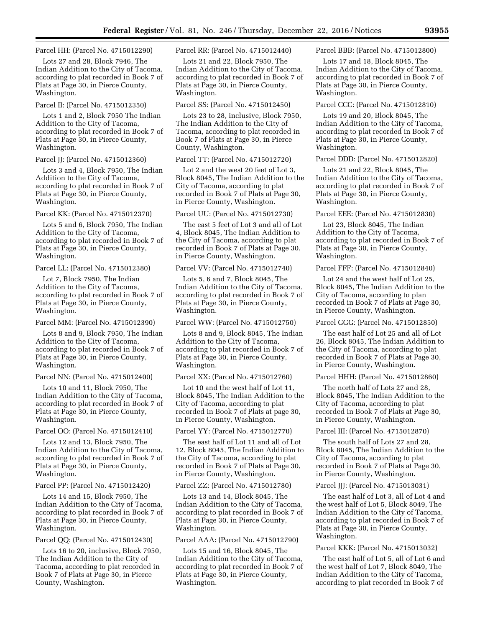Parcel HH: (Parcel No. 4715012290)

Lots 27 and 28, Block 7946, The Indian Addition to the City of Tacoma, according to plat recorded in Book 7 of Plats at Page 30, in Pierce County, Washington.

#### Parcel II: (Parcel No. 4715012350)

Lots 1 and 2, Block 7950 The Indian Addition to the City of Tacoma, according to plat recorded in Book 7 of Plats at Page 30, in Pierce County, Washington.

Parcel JJ: (Parcel No. 4715012360)

Lots 3 and 4, Block 7950, The Indian Addition to the City of Tacoma, according to plat recorded in Book 7 of Plats at Page 30, in Pierce County, Washington.

Parcel KK: (Parcel No. 4715012370)

Lots 5 and 6, Block 7950, The Indian Addition to the City of Tacoma, according to plat recorded in Book 7 of Plats at Page 30, in Pierce County, Washington.

Parcel LL: (Parcel No. 4715012380)

Lot 7, Block 7950, The Indian Addition to the City of Tacoma, according to plat recorded in Book 7 of Plats at Page 30, in Pierce County, Washington.

Parcel MM: (Parcel No. 4715012390)

Lots 8 and 9, Block 7950, The Indian Addition to the City of Tacoma, according to plat recorded in Book 7 of Plats at Page 30, in Pierce County, Washington.

Parcel NN: (Parcel No. 4715012400)

Lots 10 and 11, Block 7950, The Indian Addition to the City of Tacoma, according to plat recorded in Book 7 of Plats at Page 30, in Pierce County, Washington.

Parcel OO: (Parcel No. 4715012410)

Lots 12 and 13, Block 7950, The Indian Addition to the City of Tacoma, according to plat recorded in Book 7 of Plats at Page 30, in Pierce County, Washington.

Parcel PP: (Parcel No. 4715012420)

Lots 14 and 15, Block 7950, The Indian Addition to the City of Tacoma, according to plat recorded in Book 7 of Plats at Page 30, in Pierce County, Washington.

Parcel QQ: (Parcel No. 4715012430)

Lots 16 to 20, inclusive, Block 7950, The Indian Addition to the City of Tacoma, according to plat recorded in Book 7 of Plats at Page 30, in Pierce County, Washington.

Parcel RR: (Parcel No. 4715012440)

Lots 21 and 22, Block 7950, The Indian Addition to the City of Tacoma, according to plat recorded in Book 7 of Plats at Page 30, in Pierce County, Washington.

#### Parcel SS: (Parcel No. 4715012450)

Lots 23 to 28, inclusive, Block 7950, The Indian Addition to the City of Tacoma, according to plat recorded in Book 7 of Plats at Page 30, in Pierce County, Washington.

### Parcel TT: (Parcel No. 4715012720)

Lot 2 and the west 20 feet of Lot 3, Block 8045, The Indian Addition to the City of Tacoma, according to plat recorded in Book 7 of Plats at Page 30, in Pierce County, Washington.

Parcel UU: (Parcel No. 4715012730)

The east 5 feet of Lot 3 and all of Lot 4, Block 8045, The Indian Addition to the City of Tacoma, according to plat recorded in Book 7 of Plats at Page 30, in Pierce County, Washington.

Parcel VV: (Parcel No. 4715012740)

Lots 5, 6 and 7, Block 8045, The Indian Addition to the City of Tacoma, according to plat recorded in Book 7 of Plats at Page 30, in Pierce County, Washington.

Parcel WW: (Parcel No. 4715012750)

Lots 8 and 9, Block 8045, The Indian Addition to the City of Tacoma, according to plat recorded in Book 7 of Plats at Page 30, in Pierce County, Washington.

Parcel XX: (Parcel No. 4715012760)

Lot 10 and the west half of Lot 11, Block 8045, The Indian Addition to the City of Tacoma, according to plat recorded in Book 7 of Plats at page 30, in Pierce County, Washington.

Parcel YY: (Parcel No. 4715012770)

The east half of Lot 11 and all of Lot 12, Block 8045, The Indian Addition to the City of Tacoma, according to plat recorded in Book 7 of Plats at Page 30, in Pierce County, Washington.

#### Parcel ZZ: (Parcel No. 4715012780)

Lots 13 and 14, Block 8045, The Indian Addition to the City of Tacoma, according to plat recorded in Book 7 of Plats at Page 30, in Pierce County, Washington.

#### Parcel AAA: (Parcel No. 4715012790)

Lots 15 and 16, Block 8045, The Indian Addition to the City of Tacoma, according to plat recorded in Book 7 of Plats at Page 30, in Pierce County, Washington.

Parcel BBB: (Parcel No. 4715012800)

Lots 17 and 18, Block 8045, The Indian Addition to the City of Tacoma, according to plat recorded in Book 7 of Plats at Page 30, in Pierce County, Washington.

## Parcel CCC: (Parcel No. 4715012810)

Lots 19 and 20, Block 8045, The Indian Addition to the City of Tacoma, according to plat recorded in Book 7 of Plats at Page 30, in Pierce County, Washington.

Parcel DDD: (Parcel No. 4715012820)

Lots 21 and 22, Block 8045, The Indian Addition to the City of Tacoma, according to plat recorded in Book 7 of Plats at Page 30, in Pierce County, Washington.

Parcel EEE: (Parcel No. 4715012830)

Lot 23, Block 8045, The Indian Addition to the City of Tacoma, according to plat recorded in Book 7 of Plats at Page 30, in Pierce County, Washington.

Parcel FFF: (Parcel No. 4715012840)

Lot 24 and the west half of Lot 25, Block 8045, The Indian Addition to the City of Tacoma, according to plan recorded in Book 7 of Plats at Page 30, in Pierce County, Washington.

Parcel GGG: (Parcel No. 4715012850)

The east half of Lot 25 and all of Lot 26, Block 8045, The Indian Addition to the City of Tacoma, according to plat recorded in Book 7 of Plats at Page 30, in Pierce County, Washington.

Parcel HHH: (Parcel No. 4715012860)

The north half of Lots 27 and 28, Block 8045, The Indian Addition to the City of Tacoma, according to plat recorded in Book 7 of Plats at Page 30, in Pierce County, Washington.

Parcel III: (Parcel No. 4715012870)

The south half of Lots 27 and 28, Block 8045, The Indian Addition to the City of Tacoma, according to plat recorded in Book 7 of Plats at Page 30, in Pierce County, Washington.

Parcel JJJ: (Parcel No. 4715013031)

The east half of Lot 3, all of Lot 4 and the west half of Lot 5, Block 8049, The Indian Addition to the City of Tacoma, according to plat recorded in Book 7 of Plats at Page 30, in Pierce County, Washington.

## Parcel KKK: (Parcel No. 4715013032)

The east half of Lot 5, all of Lot 6 and the west half of Lot 7, Block 8049, The Indian Addition to the City of Tacoma, according to plat recorded in Book 7 of